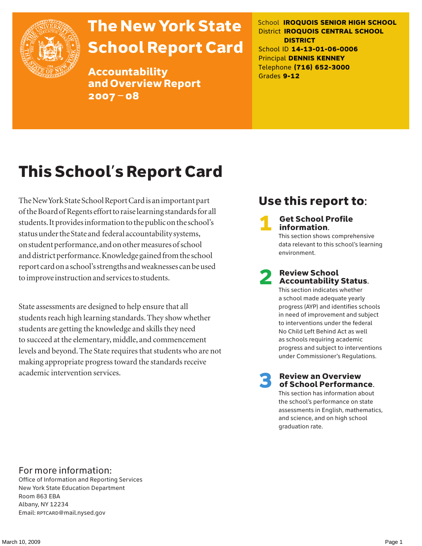

# The New York State School Report Card

Accountability and Overview Report 2007–08

School **IROQUOIS SENIOR HIGH SCHOOL** District **IROQUOIS CENTRAL SCHOOL DISTRICT** School ID **14-13-01-06-0006** Principal **DENNIS KENNEY** Telephone **(716) 652-3000** Grades **9-12**

# This School's Report Card

The New York State School Report Card is an important part of the Board of Regents effort to raise learning standards for all students. It provides information to the public on the school's status under the State and federal accountability systems, on student performance, and on other measures of school and district performance. Knowledge gained from the school report card on a school's strengths and weaknesses can be used to improve instruction and services to students.

State assessments are designed to help ensure that all students reach high learning standards. They show whether students are getting the knowledge and skills they need to succeed at the elementary, middle, and commencement levels and beyond. The State requires that students who are not making appropriate progress toward the standards receive academic intervention services.

### Use this report to:

**Get School Profile** information.

This section shows comprehensive data relevant to this school's learning environment.

# 2 Review School Accountability Status.

This section indicates whether a school made adequate yearly progress (AYP) and identifies schools in need of improvement and subject to interventions under the federal No Child Left Behind Act as well as schools requiring academic progress and subject to interventions under Commissioner's Regulations.

**Review an Overview** of School Performance.

This section has information about the school's performance on state assessments in English, mathematics, and science, and on high school graduation rate.

### For more information:

Office of Information and Reporting Services New York State Education Department Room 863 EBA Albany, NY 12234 Email: RPTCARD@mail.nysed.gov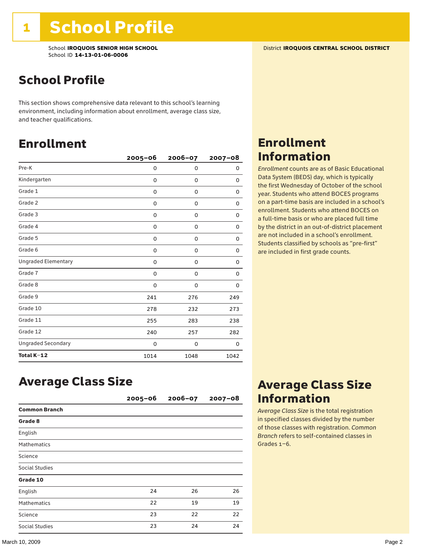### School Profile

This section shows comprehensive data relevant to this school's learning environment, including information about enrollment, average class size, and teacher qualifications.

### Enrollment

|                            | $2005 - 06$ | 2006-07     | $2007 - 08$ |
|----------------------------|-------------|-------------|-------------|
| Pre-K                      | 0           | 0           | 0           |
| Kindergarten               | 0           | 0           | 0           |
| Grade 1                    | 0           | 0           | 0           |
| Grade 2                    | 0           | 0           | 0           |
| Grade 3                    | 0           | 0           | 0           |
| Grade 4                    | 0           | 0           | 0           |
| Grade 5                    | 0           | 0           | 0           |
| Grade 6                    | 0           | 0           | 0           |
| <b>Ungraded Elementary</b> | 0           | $\mathbf 0$ | 0           |
| Grade 7                    | 0           | 0           | 0           |
| Grade 8                    | 0           | 0           | 0           |
| Grade 9                    | 241         | 276         | 249         |
| Grade 10                   | 278         | 232         | 273         |
| Grade 11                   | 255         | 283         | 238         |
| Grade 12                   | 240         | 257         | 282         |
| <b>Ungraded Secondary</b>  | 0           | 0           | 0           |
| Total K-12                 | 1014        | 1048        | 1042        |

### Enrollment Information

*Enrollment* counts are as of Basic Educational Data System (BEDS) day, which is typically the first Wednesday of October of the school year. Students who attend BOCES programs on a part-time basis are included in a school's enrollment. Students who attend BOCES on a full-time basis or who are placed full time by the district in an out-of-district placement are not included in a school's enrollment. Students classified by schools as "pre-first" are included in first grade counts.

### Average Class Size

|                       | $2005 - 06$ | $2006 - 07$ | $2007 - 08$ |
|-----------------------|-------------|-------------|-------------|
| <b>Common Branch</b>  |             |             |             |
| Grade 8               |             |             |             |
| English               |             |             |             |
| <b>Mathematics</b>    |             |             |             |
| Science               |             |             |             |
| Social Studies        |             |             |             |
| Grade 10              |             |             |             |
| English               | 24          | 26          | 26          |
| <b>Mathematics</b>    | 22          | 19          | 19          |
| Science               | 23          | 22          | 22          |
| <b>Social Studies</b> | 23          | 24          | 24          |

### Average Class Size Information

*Average Class Size* is the total registration in specified classes divided by the number of those classes with registration. *Common Branch* refers to self-contained classes in Grades 1–6.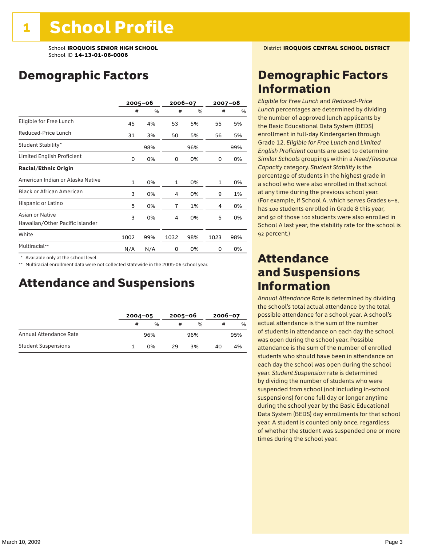School **IROQUOIS SENIOR HIGH SCHOOL** District **IROQUOIS CENTRAL SCHOOL DISTRICT** School ID **14-13-01-06-0006**

### Demographic Factors

|                                                    |              | $2005 - 06$ |              | 2006-07 |      | 2007-08 |  |
|----------------------------------------------------|--------------|-------------|--------------|---------|------|---------|--|
|                                                    | #            | %           | #            | %       | #    | %       |  |
| Eligible for Free Lunch                            | 45           | 4%          | 53           | 5%      | 55   | 5%      |  |
| Reduced-Price Lunch                                | 31           | 3%          | 50           | 5%      | 56   | 5%      |  |
| Student Stability*                                 |              | 98%         |              | 96%     |      | 99%     |  |
| Limited English Proficient                         | 0            | 0%          | 0            | 0%      | 0    | 0%      |  |
| <b>Racial/Ethnic Origin</b>                        |              |             |              |         |      |         |  |
| American Indian or Alaska Native                   | $\mathbf{1}$ | 0%          | $\mathbf{1}$ | 0%      | 1    | 0%      |  |
| <b>Black or African American</b>                   | 3            | 0%          | 4            | 0%      | 9    | 1%      |  |
| Hispanic or Latino                                 | 5            | 0%          | 7            | 1%      | 4    | 0%      |  |
| Asian or Native<br>Hawaiian/Other Pacific Islander | 3            | 0%          | 4            | 0%      | 5    | 0%      |  |
| White                                              | 1002         | 99%         | 1032         | 98%     | 1023 | 98%     |  |
| Multiracial**                                      | N/A          | N/A         | 0            | 0%      | 0    | 0%      |  |

\* Available only at the school level.

\*\* Multiracial enrollment data were not collected statewide in the 2005-06 school year.

### Attendance and Suspensions

|                            |   | $2004 - 05$   |    | $2005 - 06$ |    | $2006 - 07$ |  |
|----------------------------|---|---------------|----|-------------|----|-------------|--|
|                            | # | $\frac{0}{6}$ | #  | $\%$        | #  | %           |  |
| Annual Attendance Rate     |   | 96%           |    | 96%         |    | 95%         |  |
| <b>Student Suspensions</b> |   | በ%            | 29 | 3%          | 40 | 4%          |  |

### Demographic Factors Information

*Eligible for Free Lunch* and *Reduced*-*Price Lunch* percentages are determined by dividing the number of approved lunch applicants by the Basic Educational Data System (BEDS) enrollment in full-day Kindergarten through Grade 12. *Eligible for Free Lunch* and *Limited English Proficient* counts are used to determine *Similar Schools* groupings within a *Need*/*Resource Capacity* category. *Student Stability* is the percentage of students in the highest grade in a school who were also enrolled in that school at any time during the previous school year. (For example, if School A, which serves Grades 6–8, has 100 students enrolled in Grade 8 this year, and 92 of those 100 students were also enrolled in School A last year, the stability rate for the school is 92 percent.)

### Attendance and Suspensions Information

*Annual Attendance Rate* is determined by dividing the school's total actual attendance by the total possible attendance for a school year. A school's actual attendance is the sum of the number of students in attendance on each day the school was open during the school year. Possible attendance is the sum of the number of enrolled students who should have been in attendance on each day the school was open during the school year. *Student Suspension* rate is determined by dividing the number of students who were suspended from school (not including in-school suspensions) for one full day or longer anytime during the school year by the Basic Educational Data System (BEDS) day enrollments for that school year. A student is counted only once, regardless of whether the student was suspended one or more times during the school year.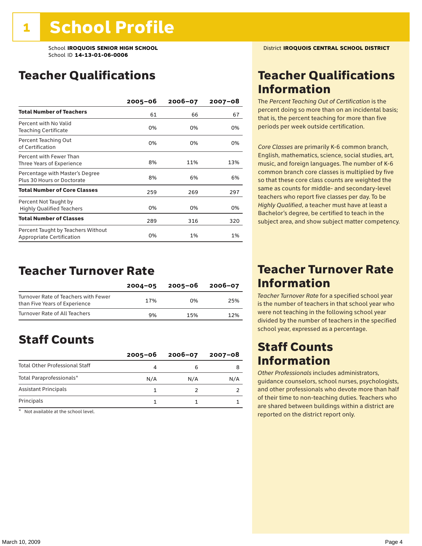### Teacher Qualifications

|                                                                        | $2005 - 06$ | $2006 - 07$ | $2007 - 08$ |
|------------------------------------------------------------------------|-------------|-------------|-------------|
| <b>Total Number of Teachers</b>                                        | 61          | 66          | 67          |
| Percent with No Valid<br>Teaching Certificate                          | 0%          | 0%          | 0%          |
| Percent Teaching Out<br>of Certification                               | 0%          | 0%          | 0%          |
| Percent with Fewer Than<br>Three Years of Experience                   | 8%          | 11%         | 13%         |
| Percentage with Master's Degree<br>Plus 30 Hours or Doctorate          | 8%          | 6%          | 6%          |
| <b>Total Number of Core Classes</b>                                    | 259         | 269         | 297         |
| Percent Not Taught by<br><b>Highly Qualified Teachers</b>              | 0%          | 0%          | 0%          |
| <b>Total Number of Classes</b>                                         | 289         | 316         | 320         |
| Percent Taught by Teachers Without<br><b>Appropriate Certification</b> | 0%          | 1%          | 1%          |

### Teacher Turnover Rate

|                                                                       | $2004 - 05$ | 2005-06 | $2006 - 07$ |
|-----------------------------------------------------------------------|-------------|---------|-------------|
| Turnover Rate of Teachers with Fewer<br>than Five Years of Experience | 17%         | በ%      | 25%         |
| Turnover Rate of All Teachers                                         | 9%          | 15%     | 12%         |

## Staff Counts

|                                       | $2005 - 06$ | $2006 - 07$ | $2007 - 08$ |
|---------------------------------------|-------------|-------------|-------------|
| <b>Total Other Professional Staff</b> |             |             |             |
| Total Paraprofessionals*              | N/A         | N/A         | N/A         |
| <b>Assistant Principals</b>           |             |             |             |
| Principals                            |             |             |             |

\* Not available at the school level.

## Teacher Qualifications Information

The *Percent Teaching Out of Certification* is the percent doing so more than on an incidental basis; that is, the percent teaching for more than five periods per week outside certification.

*Core Classes* are primarily K-6 common branch, English, mathematics, science, social studies, art, music, and foreign languages. The number of K-6 common branch core classes is multiplied by five so that these core class counts are weighted the same as counts for middle- and secondary-level teachers who report five classes per day. To be *Highly Qualified*, a teacher must have at least a Bachelor's degree, be certified to teach in the subject area, and show subject matter competency.

### Teacher Turnover Rate Information

*Teacher Turnover Rate* for a specified school year is the number of teachers in that school year who were not teaching in the following school year divided by the number of teachers in the specified school year, expressed as a percentage.

### Staff Counts Information

*Other Professionals* includes administrators, guidance counselors, school nurses, psychologists, and other professionals who devote more than half of their time to non-teaching duties. Teachers who are shared between buildings within a district are reported on the district report only.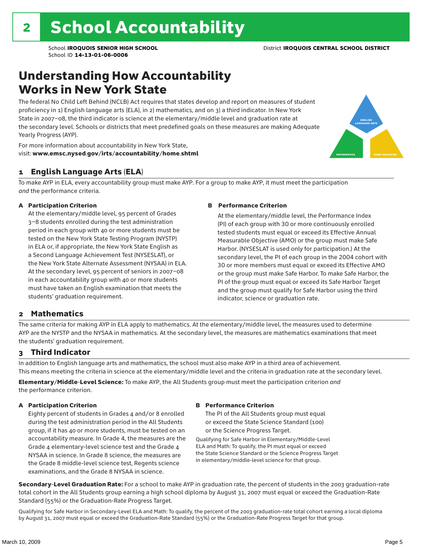### Understanding How Accountability Works in New York State

The federal No Child Left Behind (NCLB) Act requires that states develop and report on measures of student proficiency in 1) English language arts (ELA), in 2) mathematics, and on 3) a third indicator. In New York State in 2007–08, the third indicator is science at the elementary/middle level and graduation rate at the secondary level. Schools or districts that meet predefined goals on these measures are making Adequate Yearly Progress (AYP).



For more information about accountability in New York State, visit: www.emsc.nysed.gov/irts/accountability/home.shtml

#### 1 English Language Arts (ELA)

To make AYP in ELA, every accountability group must make AYP. For a group to make AYP, it must meet the participation *and* the performance criteria.

#### A Participation Criterion

At the elementary/middle level, 95 percent of Grades 3–8 students enrolled during the test administration period in each group with 40 or more students must be tested on the New York State Testing Program (NYSTP) in ELA or, if appropriate, the New York State English as a Second Language Achievement Test (NYSESLAT), or the New York State Alternate Assessment (NYSAA) in ELA. At the secondary level, 95 percent of seniors in 2007–08 in each accountability group with 40 or more students must have taken an English examination that meets the students' graduation requirement.

#### B Performance Criterion

At the elementary/middle level, the Performance Index (PI) of each group with 30 or more continuously enrolled tested students must equal or exceed its Effective Annual Measurable Objective (AMO) or the group must make Safe Harbor. (NYSESLAT is used only for participation.) At the secondary level, the PI of each group in the 2004 cohort with 30 or more members must equal or exceed its Effective AMO or the group must make Safe Harbor. To make Safe Harbor, the PI of the group must equal or exceed its Safe Harbor Target and the group must qualify for Safe Harbor using the third indicator, science or graduation rate.

#### 2 Mathematics

The same criteria for making AYP in ELA apply to mathematics. At the elementary/middle level, the measures used to determine AYP are the NYSTP and the NYSAA in mathematics. At the secondary level, the measures are mathematics examinations that meet the students' graduation requirement.

#### 3 Third Indicator

In addition to English language arts and mathematics, the school must also make AYP in a third area of achievement. This means meeting the criteria in science at the elementary/middle level and the criteria in graduation rate at the secondary level.

Elementary/Middle-Level Science: To make AYP, the All Students group must meet the participation criterion *and* the performance criterion.

#### A Participation Criterion

Eighty percent of students in Grades 4 and/or 8 enrolled during the test administration period in the All Students group, if it has 40 or more students, must be tested on an accountability measure. In Grade 4, the measures are the Grade 4 elementary-level science test and the Grade 4 NYSAA in science. In Grade 8 science, the measures are the Grade 8 middle-level science test, Regents science examinations, and the Grade 8 NYSAA in science.

#### B Performance Criterion

The PI of the All Students group must equal or exceed the State Science Standard (100) or the Science Progress Target.

Qualifying for Safe Harbor in Elementary/Middle-Level ELA and Math: To qualify, the PI must equal or exceed the State Science Standard or the Science Progress Target in elementary/middle-level science for that group.

Secondary-Level Graduation Rate: For a school to make AYP in graduation rate, the percent of students in the 2003 graduation-rate total cohort in the All Students group earning a high school diploma by August 31, 2007 must equal or exceed the Graduation-Rate Standard (55%) or the Graduation-Rate Progress Target.

Qualifying for Safe Harbor in Secondary-Level ELA and Math: To qualify, the percent of the 2003 graduation-rate total cohort earning a local diploma by August 31, 2007 must equal or exceed the Graduation-Rate Standard (55%) or the Graduation-Rate Progress Target for that group.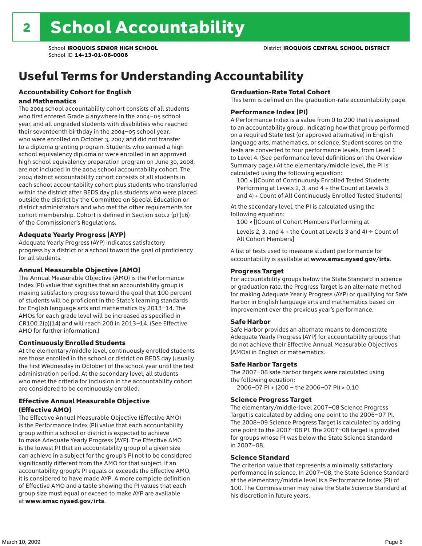## Useful Terms for Understanding Accountability

#### Accountability Cohort for English and Mathematics

The 2004 school accountability cohort consists of all students who first entered Grade 9 anywhere in the 2004–05 school year, and all ungraded students with disabilities who reached their seventeenth birthday in the 2004–05 school year, who were enrolled on October 3, 2007 and did not transfer to a diploma granting program. Students who earned a high school equivalency diploma or were enrolled in an approved high school equivalency preparation program on June 30, 2008, are not included in the 2004 school accountability cohort. The 2004 district accountability cohort consists of all students in each school accountability cohort plus students who transferred within the district after BEDS day plus students who were placed outside the district by the Committee on Special Education or district administrators and who met the other requirements for cohort membership. Cohort is defined in Section 100.2 (p) (16) of the Commissioner's Regulations.

#### Adequate Yearly Progress (AYP)

Adequate Yearly Progress (AYP) indicates satisfactory progress by a district or a school toward the goal of proficiency for all students.

#### Annual Measurable Objective (AMO)

The Annual Measurable Objective (AMO) is the Performance Index (PI) value that signifies that an accountability group is making satisfactory progress toward the goal that 100 percent of students will be proficient in the State's learning standards for English language arts and mathematics by 2013–14. The AMOs for each grade level will be increased as specified in CR100.2(p)(14) and will reach 200 in 2013–14. (See Effective AMO for further information.)

#### Continuously Enrolled Students

At the elementary/middle level, continuously enrolled students are those enrolled in the school or district on BEDS day (usually the first Wednesday in October) of the school year until the test administration period. At the secondary level, all students who meet the criteria for inclusion in the accountability cohort are considered to be continuously enrolled.

#### Effective Annual Measurable Objective (Effective AMO)

The Effective Annual Measurable Objective (Effective AMO) is the Performance Index (PI) value that each accountability group within a school or district is expected to achieve to make Adequate Yearly Progress (AYP). The Effective AMO is the lowest PI that an accountability group of a given size can achieve in a subject for the group's PI not to be considered significantly different from the AMO for that subject. If an accountability group's PI equals or exceeds the Effective AMO, it is considered to have made AYP. A more complete definition of Effective AMO and a table showing the PI values that each group size must equal or exceed to make AYP are available at www.emsc.nysed.gov/irts.

#### Graduation-Rate Total Cohort

This term is defined on the graduation-rate accountability page.

#### Performance Index (PI)

A Performance Index is a value from 0 to 200 that is assigned to an accountability group, indicating how that group performed on a required State test (or approved alternative) in English language arts, mathematics, or science. Student scores on the tests are converted to four performance levels, from Level 1 to Level 4. (See performance level definitions on the Overview Summary page.) At the elementary/middle level, the PI is calculated using the following equation:

100 × [(Count of Continuously Enrolled Tested Students Performing at Levels 2, 3, and 4 + the Count at Levels 3 and 4) ÷ Count of All Continuously Enrolled Tested Students]

At the secondary level, the PI is calculated using the following equation:

100 × [(Count of Cohort Members Performing at

Levels 2, 3, and 4 + the Count at Levels 3 and 4)  $\div$  Count of All Cohort Members]

A list of tests used to measure student performance for accountability is available at www.emsc.nysed.gov/irts.

#### Progress Target

For accountability groups below the State Standard in science or graduation rate, the Progress Target is an alternate method for making Adequate Yearly Progress (AYP) or qualifying for Safe Harbor in English language arts and mathematics based on improvement over the previous year's performance.

#### Safe Harbor

Safe Harbor provides an alternate means to demonstrate Adequate Yearly Progress (AYP) for accountability groups that do not achieve their Effective Annual Measurable Objectives (AMOs) in English or mathematics.

#### Safe Harbor Targets

The 2007–08 safe harbor targets were calculated using the following equation:

2006–07 PI + (200 – the 2006–07 PI) × 0.10

#### Science Progress Target

The elementary/middle-level 2007–08 Science Progress Target is calculated by adding one point to the 2006–07 PI. The 2008–09 Science Progress Target is calculated by adding one point to the 2007–08 PI. The 2007–08 target is provided for groups whose PI was below the State Science Standard in 2007–08.

#### Science Standard

The criterion value that represents a minimally satisfactory performance in science. In 2007–08, the State Science Standard at the elementary/middle level is a Performance Index (PI) of 100. The Commissioner may raise the State Science Standard at his discretion in future years.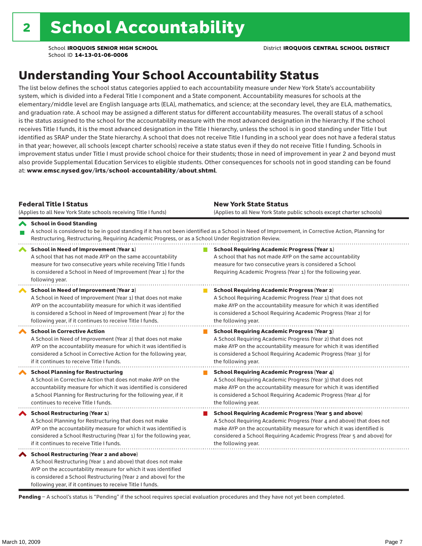## Understanding Your School Accountability Status

The list below defines the school status categories applied to each accountability measure under New York State's accountability system, which is divided into a Federal Title I component and a State component. Accountability measures for schools at the elementary/middle level are English language arts (ELA), mathematics, and science; at the secondary level, they are ELA, mathematics, and graduation rate. A school may be assigned a different status for different accountability measures. The overall status of a school is the status assigned to the school for the accountability measure with the most advanced designation in the hierarchy. If the school receives Title I funds, it is the most advanced designation in the Title I hierarchy, unless the school is in good standing under Title I but identified as SRAP under the State hierarchy. A school that does not receive Title I funding in a school year does not have a federal status in that year; however, all schools (except charter schools) receive a state status even if they do not receive Title I funding. Schools in improvement status under Title I must provide school choice for their students; those in need of improvement in year 2 and beyond must also provide Supplemental Education Services to eligible students. Other consequences for schools not in good standing can be found at: www.emsc.nysed.gov/irts/school-accountability/about.shtml.

| <b>Federal Title I Status</b><br>(Applies to all New York State schools receiving Title I funds)                                                                                                                                                                                                         | <b>New York State Status</b><br>(Applies to all New York State public schools except charter schools) |                                                                                                                                                                                                                                                                                                                 |  |  |  |
|----------------------------------------------------------------------------------------------------------------------------------------------------------------------------------------------------------------------------------------------------------------------------------------------------------|-------------------------------------------------------------------------------------------------------|-----------------------------------------------------------------------------------------------------------------------------------------------------------------------------------------------------------------------------------------------------------------------------------------------------------------|--|--|--|
| <b>School in Good Standing</b><br>Restructuring, Restructuring, Requiring Academic Progress, or as a School Under Registration Review.                                                                                                                                                                   |                                                                                                       | A school is considered to be in good standing if it has not been identified as a School in Need of Improvement, in Corrective Action, Planning for                                                                                                                                                              |  |  |  |
| School in Need of Improvement (Year 1)<br>A school that has not made AYP on the same accountability<br>measure for two consecutive years while receiving Title I funds<br>is considered a School in Need of Improvement (Year 1) for the<br>following year.                                              |                                                                                                       | <b>School Requiring Academic Progress (Year 1)</b><br>A school that has not made AYP on the same accountability<br>measure for two consecutive years is considered a School<br>Requiring Academic Progress (Year 1) for the following year.                                                                     |  |  |  |
| School in Need of Improvement (Year 2)<br>A School in Need of Improvement (Year 1) that does not make<br>AYP on the accountability measure for which it was identified<br>is considered a School in Need of Improvement (Year 2) for the<br>following year, if it continues to receive Title I funds.    |                                                                                                       | <b>School Requiring Academic Progress (Year 2)</b><br>A School Requiring Academic Progress (Year 1) that does not<br>make AYP on the accountability measure for which it was identified<br>is considered a School Requiring Academic Progress (Year 2) for<br>the following year.                               |  |  |  |
| <b>School in Corrective Action</b><br>A School in Need of Improvement (Year 2) that does not make<br>AYP on the accountability measure for which it was identified is<br>considered a School in Corrective Action for the following year,<br>if it continues to receive Title I funds.                   |                                                                                                       | <b>School Requiring Academic Progress (Year 3)</b><br>A School Requiring Academic Progress (Year 2) that does not<br>make AYP on the accountability measure for which it was identified<br>is considered a School Requiring Academic Progress (Year 3) for<br>the following year.                               |  |  |  |
| <b>School Planning for Restructuring</b><br>A School in Corrective Action that does not make AYP on the<br>accountability measure for which it was identified is considered<br>a School Planning for Restructuring for the following year, if it<br>continues to receive Title I funds.                  |                                                                                                       | <b>School Requiring Academic Progress (Year 4)</b><br>A School Requiring Academic Progress (Year 3) that does not<br>make AYP on the accountability measure for which it was identified<br>is considered a School Requiring Academic Progress (Year 4) for<br>the following year.                               |  |  |  |
| School Restructuring (Year 1)<br>A School Planning for Restructuring that does not make<br>AYP on the accountability measure for which it was identified is<br>considered a School Restructuring (Year 1) for the following year,<br>if it continues to receive Title I funds.                           |                                                                                                       | <b>School Requiring Academic Progress (Year 5 and above)</b><br>A School Requiring Academic Progress (Year 4 and above) that does not<br>make AYP on the accountability measure for which it was identified is<br>considered a School Requiring Academic Progress (Year 5 and above) for<br>the following year. |  |  |  |
| School Restructuring (Year 2 and above)<br>A School Restructuring (Year 1 and above) that does not make<br>AYP on the accountability measure for which it was identified<br>is considered a School Restructuring (Year 2 and above) for the<br>following year, if it continues to receive Title I funds. |                                                                                                       |                                                                                                                                                                                                                                                                                                                 |  |  |  |

Pending - A school's status is "Pending" if the school requires special evaluation procedures and they have not yet been completed.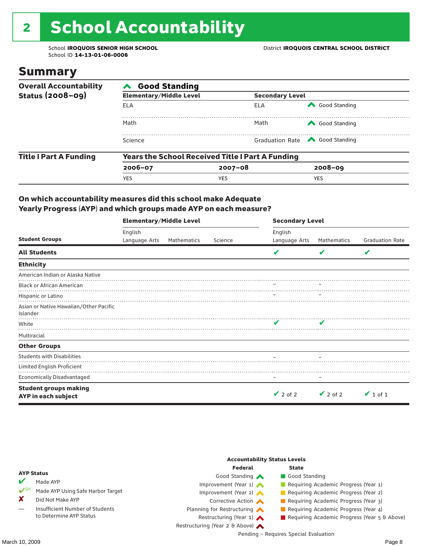# 2 School Accountability

School ID **14-13-01-06-0006**

### Summary

| <b>Overall Accountability</b> | <b>Good Standing</b>           |                                                         |                                       |  |  |  |  |
|-------------------------------|--------------------------------|---------------------------------------------------------|---------------------------------------|--|--|--|--|
| <b>Status (2008-09)</b>       | <b>Elementary/Middle Level</b> | <b>Secondary Level</b>                                  |                                       |  |  |  |  |
|                               | ELA                            | ELA                                                     | Good Standing                         |  |  |  |  |
|                               | Math                           | Math                                                    | Good Standing                         |  |  |  |  |
|                               | Science                        |                                                         | Graduation Rate <a> Good Standing</a> |  |  |  |  |
| <b>Title I Part A Funding</b> |                                | <b>Years the School Received Title I Part A Funding</b> |                                       |  |  |  |  |
|                               | $2006 - 07$                    | $2007 - 08$                                             | $2008 - 09$                           |  |  |  |  |
|                               | <b>YES</b>                     | <b>YES</b>                                              | <b>YES</b>                            |  |  |  |  |

#### On which accountability measures did this school make Adequate Yearly Progress (AYP) and which groups made AYP on each measure?

|                                                     | <b>Elementary/Middle Level</b> |             |         |               | <b>Secondary Level</b> |                        |  |  |
|-----------------------------------------------------|--------------------------------|-------------|---------|---------------|------------------------|------------------------|--|--|
|                                                     | English                        |             |         | English       |                        |                        |  |  |
| <b>Student Groups</b>                               | Language Arts                  | Mathematics | Science | Language Arts | Mathematics            | <b>Graduation Rate</b> |  |  |
| <b>All Students</b>                                 |                                |             |         | v             |                        | V                      |  |  |
| <b>Ethnicity</b>                                    |                                |             |         |               |                        |                        |  |  |
| American Indian or Alaska Native                    |                                |             |         |               |                        |                        |  |  |
| <b>Black or African American</b>                    |                                |             |         |               |                        |                        |  |  |
| Hispanic or Latino                                  |                                |             |         |               |                        |                        |  |  |
| Asian or Native Hawaiian/Other Pacific<br>Islander  |                                |             |         |               |                        |                        |  |  |
| White                                               |                                |             |         | V             |                        |                        |  |  |
| Multiracial                                         |                                |             |         |               |                        |                        |  |  |
| <b>Other Groups</b>                                 |                                |             |         |               |                        |                        |  |  |
| <b>Students with Disabilities</b>                   |                                |             |         |               |                        |                        |  |  |
| Limited English Proficient                          |                                |             |         |               |                        |                        |  |  |
| <b>Economically Disadvantaged</b>                   |                                |             |         |               |                        |                        |  |  |
| <b>Student groups making</b><br>AYP in each subject |                                |             |         | $\vee$ 2 of 2 | $\vee$ 2 of 2          | $\vee$ 1 of 1          |  |  |

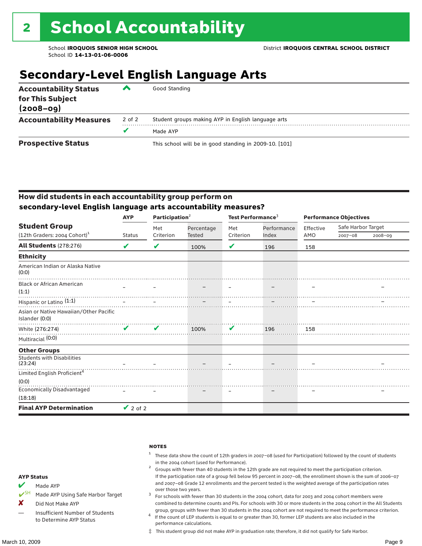## **Secondary-Level English Language Arts**

| <b>Accountability Status</b><br>for This Subject<br>$(2008 - 09)$ | ▰      | Good Standing                                          |
|-------------------------------------------------------------------|--------|--------------------------------------------------------|
| <b>Accountability Measures</b>                                    | 2 of 2 | Student groups making AYP in English language arts     |
|                                                                   |        | Made AYP                                               |
| <b>Prospective Status</b>                                         |        | This school will be in good standing in 2009-10. [101] |

#### How did students in each accountability group perform on **secondary-level English language arts accountability measures?**

|                                                          | Participation <sup>2</sup><br><b>AYP</b> |           |            | Test Performance <sup>3</sup> |             | <b>Performance Objectives</b> |                    |             |
|----------------------------------------------------------|------------------------------------------|-----------|------------|-------------------------------|-------------|-------------------------------|--------------------|-------------|
| <b>Student Group</b>                                     |                                          | Met       | Percentage | Met                           | Performance | Effective                     | Safe Harbor Target |             |
| (12th Graders: 2004 Cohort) <sup>1</sup>                 | <b>Status</b>                            | Criterion | Tested     | Criterion                     | Index       | AMO                           | $2007 - 08$        | $2008 - 09$ |
| <b>All Students (278:276)</b>                            | V                                        | V         | 100%       | V                             | 196         | 158                           |                    |             |
| <b>Ethnicity</b>                                         |                                          |           |            |                               |             |                               |                    |             |
| American Indian or Alaska Native<br>(0:0)                |                                          |           |            |                               |             |                               |                    |             |
| <b>Black or African American</b><br>(1:1)                |                                          |           |            |                               |             |                               |                    |             |
| Hispanic or Latino <sup>(1:1)</sup>                      |                                          |           |            |                               |             |                               |                    |             |
| Asian or Native Hawaiian/Other Pacific<br>Islander (0:0) |                                          |           |            |                               |             |                               |                    |             |
| White (276:274)                                          | $\mathbf{v}$                             | V         | 100%       | $\mathbf{v}$                  | 196         | 158                           |                    |             |
| Multiracial (0:0)                                        |                                          |           |            |                               |             |                               |                    |             |
| <b>Other Groups</b>                                      |                                          |           |            |                               |             |                               |                    |             |
| <b>Students with Disabilities</b><br>(23:24)             |                                          |           |            |                               |             |                               |                    |             |
| Limited English Proficient <sup>4</sup>                  |                                          |           |            |                               |             |                               |                    |             |
| (0:0)                                                    |                                          |           |            |                               |             |                               |                    |             |
| <b>Economically Disadvantaged</b>                        |                                          |           |            |                               |             |                               |                    |             |
| (18:18)                                                  |                                          |           |            |                               |             |                               |                    |             |
| <b>Final AYP Determination</b>                           | $\vee$ 2 of 2                            |           |            |                               |             |                               |                    |             |

#### **NOTES**

- <sup>1</sup> These data show the count of 12th graders in 2007–08 (used for Participation) followed by the count of students
- in the 2004 cohort (used for Performance).<br><sup>2</sup> Groups with fewer than 40 students in the 12th grade are not required to meet the participation criterion. If the participation rate of a group fell below 95 percent in 2007–08, the enrollment shown is the sum of 2006–07 and 2007–08 Grade 12 enrollments and the percent tested is the weighted average of the participation rates
- over those two years.  $^3$  For schools with fewer than 30 students in the 2004 cohort, data for 2003 and 2004 cohort members were combined to determine counts and PIs. For schools with 30 or more students in the 2004 cohort in the All Students
- group, groups with fewer than 30 students in the 2004 cohort are not required to meet the performance criterion. <sup>4</sup> If the count of LEP students is equal to or greater than 30, former LEP students are also included in the performance calculations.
- ‡ This student group did not make AYP in graduation rate; therefore, it did not qualify for Safe Harbor.
- Made AYP
- ✔SH Made AYP Using Safe Harbor Target
- X Did Not Make AYP
- Insufficient Number of Students to Determine AYP Status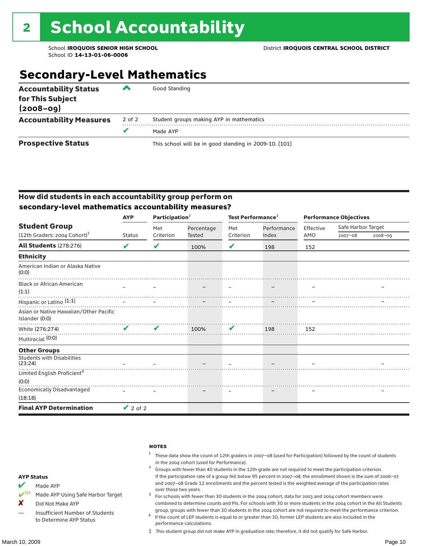## **Secondary-Level Mathematics**

| <b>Accountability Status</b><br>for This Subject<br>$(2008 - 09)$ | ‴      | Good Standing                                          |
|-------------------------------------------------------------------|--------|--------------------------------------------------------|
| <b>Accountability Measures</b>                                    | 2 of 2 | Student groups making AYP in mathematics               |
|                                                                   |        | Made AYP                                               |
| <b>Prospective Status</b>                                         |        | This school will be in good standing in 2009-10. [101] |

#### How did students in each accountability group perform on **secondary-level mathematics accountability measures?**

|                                                          | <b>AYP</b>    | Participation $2$ |            | Test Performance <sup>3</sup> |             | <b>Performance Objectives</b> |                    |             |
|----------------------------------------------------------|---------------|-------------------|------------|-------------------------------|-------------|-------------------------------|--------------------|-------------|
| <b>Student Group</b>                                     |               | Met               | Percentage | Met                           | Performance | Effective                     | Safe Harbor Target |             |
| (12th Graders: 2004 Cohort) <sup>1</sup>                 | <b>Status</b> | Criterion         | Tested     | Criterion                     | Index       | AMO                           | $2007 - 08$        | $2008 - 09$ |
| <b>All Students (278:276)</b>                            | V             | V                 | 100%       | V                             | 198         | 152                           |                    |             |
| <b>Ethnicity</b>                                         |               |                   |            |                               |             |                               |                    |             |
| American Indian or Alaska Native<br>(0:0)                |               |                   |            |                               |             |                               |                    |             |
| <b>Black or African American</b><br>(1:1)                |               |                   |            |                               |             |                               |                    |             |
| Hispanic or Latino <sup>(1:1)</sup>                      |               |                   |            |                               |             |                               |                    |             |
| Asian or Native Hawaiian/Other Pacific<br>Islander (0:0) |               |                   |            |                               |             |                               |                    |             |
| White (276:274)                                          | $\mathbf{v}$  | $\mathbf{v}$      | 100%       | $\mathbf{v}$                  | 198         | 152                           |                    |             |
| Multiracial (0:0)                                        |               |                   |            |                               |             |                               |                    |             |
| <b>Other Groups</b>                                      |               |                   |            |                               |             |                               |                    |             |
| <b>Students with Disabilities</b><br>(23:24)             |               |                   |            |                               |             |                               |                    |             |
| Limited English Proficient <sup>4</sup>                  |               |                   |            |                               |             |                               |                    |             |
| (0:0)                                                    |               |                   |            |                               |             |                               |                    |             |
| <b>Economically Disadvantaged</b>                        |               |                   |            |                               |             |                               |                    |             |
| (18:18)                                                  |               |                   |            |                               |             |                               |                    |             |
| <b>Final AYP Determination</b>                           | $\vee$ 2 of 2 |                   |            |                               |             |                               |                    |             |

#### **NOTES**

- <sup>1</sup> These data show the count of 12th graders in 2007–08 (used for Participation) followed by the count of students
- in the 2004 cohort (used for Performance).<br><sup>2</sup> Groups with fewer than 40 students in the 12th grade are not required to meet the participation criterion. If the participation rate of a group fell below 95 percent in 2007–08, the enrollment shown is the sum of 2006–07 and 2007–08 Grade 12 enrollments and the percent tested is the weighted average of the participation rates
- over those two years.  $^3$  For schools with fewer than 30 students in the 2004 cohort, data for 2003 and 2004 cohort members were combined to determine counts and PIs. For schools with 30 or more students in the 2004 cohort in the All Students
- group, groups with fewer than 30 students in the 2004 cohort are not required to meet the performance criterion. <sup>4</sup> If the count of LEP students is equal to or greater than 30, former LEP students are also included in the performance calculations.
- ‡ This student group did not make AYP in graduation rate; therefore, it did not qualify for Safe Harbor.

#### AYP Status

- Made AYP
- ✔SH Made AYP Using Safe Harbor Target
- X Did Not Make AYP
- Insufficient Number of Students to Determine AYP Status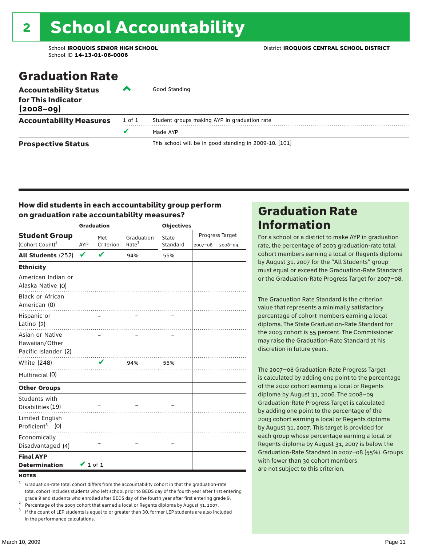# 2 School Accountability

School ID **14-13-01-06-0006**

### Graduation Rate

| <b>Accountability Status</b><br>for This Indicator<br>$(2008 - 09)$ | ‴      | Good Standing                                          |
|---------------------------------------------------------------------|--------|--------------------------------------------------------|
| <b>Accountability Measures</b>                                      | 1 of 1 | Student groups making AYP in graduation rate           |
|                                                                     | v      | Made AYP                                               |
| <b>Prospective Status</b>                                           |        | This school will be in good standing in 2009-10. [101] |

#### How did students in each accountability group perform on graduation rate accountability measures?

|                                                           |               | <b>Graduation</b> |                   | <b>Objectives</b> |         |                 |  |
|-----------------------------------------------------------|---------------|-------------------|-------------------|-------------------|---------|-----------------|--|
| <b>Student Group</b>                                      |               | Met               | Graduation        | State             |         | Progress Target |  |
| (Cohort Count) <sup>1</sup>                               | AYP           | Criterion         | Rate <sup>2</sup> | Standard          | 2007-08 | 2008-09         |  |
| <b>All Students (252)</b>                                 | V             | V                 | 94%               | 55%               |         |                 |  |
| <b>Ethnicity</b>                                          |               |                   |                   |                   |         |                 |  |
| American Indian or<br>Alaska Native (0)                   |               |                   |                   |                   |         |                 |  |
| <b>Black or African</b><br>American (0)                   |               |                   |                   |                   |         |                 |  |
| Hispanic or<br>Latino (2)                                 |               |                   | .                 |                   |         |                 |  |
| Asian or Native<br>Hawaiian/Other<br>Pacific Islander (2) |               |                   |                   |                   |         |                 |  |
| White (248)                                               |               | $\mathbf{v}$      | 94%               | 55%               |         |                 |  |
| Multiracial (0)                                           |               |                   |                   |                   |         |                 |  |
| <b>Other Groups</b>                                       |               |                   |                   |                   |         |                 |  |
| Students with<br>Disabilities (19)                        |               |                   |                   |                   |         |                 |  |
| <b>Limited English</b><br>Proficient <sup>3</sup> $(0)$   |               |                   |                   |                   |         |                 |  |
| Economically<br>Disadvantaged (4)                         |               |                   |                   |                   |         |                 |  |
| <b>Final AYP</b><br><b>Determination</b>                  | $\vee$ 1 of 1 |                   |                   |                   |         |                 |  |

### Information For a school or a district to make AYP in graduation

Graduation Rate

rate, the percentage of 2003 graduation-rate total cohort members earning a local or Regents diploma by August 31, 2007 for the "All Students" group must equal or exceed the Graduation-Rate Standard or the Graduation-Rate Progress Target for 2007–08.

The Graduation Rate Standard is the criterion value that represents a minimally satisfactory percentage of cohort members earning a local diploma. The State Graduation-Rate Standard for the 2003 cohort is 55 percent. The Commissioner may raise the Graduation-Rate Standard at his discretion in future years.

The 2007–08 Graduation-Rate Progress Target is calculated by adding one point to the percentage of the 2002 cohort earning a local or Regents diploma by August 31, 2006. The 2008–09 Graduation-Rate Progress Target is calculated by adding one point to the percentage of the 2003 cohort earning a local or Regents diploma by August 31, 2007. This target is provided for each group whose percentage earning a local or Regents diploma by August 31, 2007 is below the Graduation-Rate Standard in 2007–08 (55%). Groups with fewer than 30 cohort members are not subject to this criterion.

**NOTES** 

- <sup>1</sup> Graduation-rate total cohort differs from the accountability cohort in that the graduation-rate total cohort includes students who left school prior to BEDS day of the fourth year after first entering
- 
- grade 9 and students who enrolled after BEDS day of the fourth year after first entering grade 9.<br>
<sup>2</sup> Percentage of the 2003 cohort that earned a local or Regents diploma by August 31, 2007.<br>
<sup>3</sup> If the count of LEP stud in the performance calculations.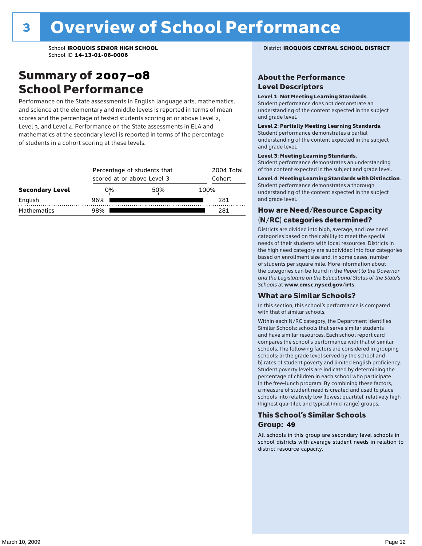### Summary of 2007–08 School Performance

Performance on the State assessments in English language arts, mathematics, and science at the elementary and middle levels is reported in terms of mean scores and the percentage of tested students scoring at or above Level 2, Level 3, and Level 4. Performance on the State assessments in ELA and mathematics at the secondary level is reported in terms of the percentage of students in a cohort scoring at these levels.

| <b>Secondary Level</b> |     | Percentage of students that<br>scored at or above Level 3 |      |  |  |  |  |
|------------------------|-----|-----------------------------------------------------------|------|--|--|--|--|
|                        | 0%  | 50%                                                       | 100% |  |  |  |  |
| English                | 96% |                                                           | 281  |  |  |  |  |
| <b>Mathematics</b>     | 98% |                                                           | 281  |  |  |  |  |

#### School **IROQUOIS SENIOR HIGH SCHOOL** District **IROQUOIS CENTRAL SCHOOL DISTRICT**

#### About the Performance Level Descriptors

#### Level 1: Not Meeting Learning Standards.

Student performance does not demonstrate an understanding of the content expected in the subject and grade level.

#### Level 2: Partially Meeting Learning Standards.

Student performance demonstrates a partial understanding of the content expected in the subject and grade level.

#### Level 3: Meeting Learning Standards.

Student performance demonstrates an understanding of the content expected in the subject and grade level.

#### Level 4: Meeting Learning Standards with Distinction.

Student performance demonstrates a thorough understanding of the content expected in the subject and grade level.

#### How are Need/Resource Capacity (N/RC) categories determined?

Districts are divided into high, average, and low need categories based on their ability to meet the special needs of their students with local resources. Districts in the high need category are subdivided into four categories based on enrollment size and, in some cases, number of students per square mile. More information about the categories can be found in the *Report to the Governor and the Legislature on the Educational Status of the State's Schools* at www.emsc.nysed.gov/irts.

#### What are Similar Schools?

In this section, this school's performance is compared with that of similar schools.

Within each N/RC category, the Department identifies Similar Schools: schools that serve similar students and have similar resources. Each school report card compares the school's performance with that of similar schools. The following factors are considered in grouping schools: a) the grade level served by the school and b) rates of student poverty and limited English proficiency. Student poverty levels are indicated by determining the percentage of children in each school who participate in the free-lunch program. By combining these factors, a measure of student need is created and used to place schools into relatively low (lowest quartile), relatively high (highest quartile), and typical (mid-range) groups.

#### This School's Similar Schools Group: **49**

All schools in this group are secondary level schools in school districts with average student needs in relation to district resource capacity.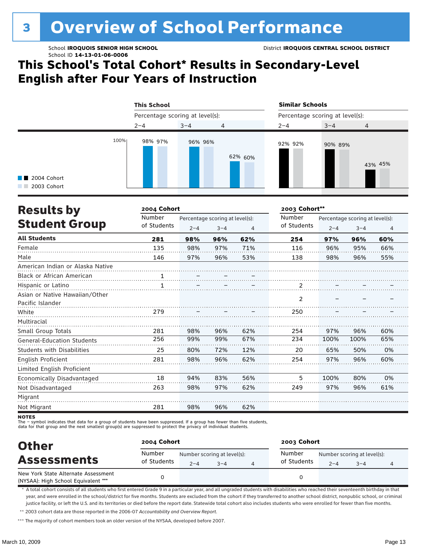# <sup>3</sup> Overview of School Performance

School ID **14-13-01-06-0006**

## **This School's Total Cohort\* Results in Secondary-Level English after Four Years of Instruction**

|                                             | <b>This School</b>              |         |         | <b>Similar Schools</b>          |         |                |  |
|---------------------------------------------|---------------------------------|---------|---------|---------------------------------|---------|----------------|--|
|                                             | Percentage scoring at level(s): |         |         | Percentage scoring at level(s): |         |                |  |
|                                             | $2 - 4$                         | $3 - 4$ | 4       | $2 - 4$                         | $3 - 4$ | $\overline{4}$ |  |
| 100%<br><b>1</b> 2004 Cohort<br>2003 Cohort | 98% 97%                         | 96% 96% | 62% 60% | 92% 92%                         | 90% 89% | 43% 45%        |  |

| <b>Results by</b>                 | 2004 Cohort |         |                                 |     |                | 2003 Cohort**                   |         |     |  |
|-----------------------------------|-------------|---------|---------------------------------|-----|----------------|---------------------------------|---------|-----|--|
|                                   | Number      |         | Percentage scoring at level(s): |     | Number         | Percentage scoring at level(s): |         |     |  |
| <b>Student Group</b>              | of Students | $2 - 4$ | $3 - 4$                         | 4   | of Students    | $2 - 4$                         | $3 - 4$ | 4   |  |
| <b>All Students</b>               | 281         | 98%     | 96%                             | 62% | 254            | 97%                             | 96%     | 60% |  |
| Female                            | 135         | 98%     | 97%                             | 71% | 116            | 96%                             | 95%     | 66% |  |
| Male                              | 146         | 97%     | 96%                             | 53% | 138            | 98%                             | 96%     | 55% |  |
| American Indian or Alaska Native  |             |         |                                 |     |                |                                 |         |     |  |
| <b>Black or African American</b>  |             |         |                                 |     |                |                                 |         |     |  |
| Hispanic or Latino                |             |         |                                 |     | 2              |                                 |         |     |  |
| Asian or Native Hawaiian/Other    |             |         |                                 |     |                |                                 |         |     |  |
| Pacific Islander                  |             |         |                                 |     | $\overline{2}$ |                                 |         |     |  |
| White                             | 279         |         |                                 |     | 250            |                                 |         |     |  |
| Multiracial                       |             |         |                                 |     |                |                                 |         |     |  |
| Small Group Totals                | 281         | 98%     | 96%                             | 62% | 254            | 97%                             | 96%     | 60% |  |
| General-Education Students        | 256         | 99%     | 99%                             | 67% | 234            | 100%                            | 100%    | 65% |  |
| <b>Students with Disabilities</b> | 25          | 80%     | 72%                             | 12% | 20             | 65%                             | 50%     | 0%  |  |
| English Proficient                | 281         | 98%     | 96%                             | 62% | 254            | 97%                             | 96%     | 60% |  |
| Limited English Proficient        |             |         |                                 |     |                |                                 |         |     |  |
| Economically Disadvantaged        | 18          | 94%     | 83%                             | 56% | 5              | 100%                            | 80%     | 0%  |  |
| Not Disadvantaged                 | 263         | 98%     | 97%                             | 62% | 249            | 97%                             | 96%     | 61% |  |
| Migrant                           |             |         |                                 |     |                |                                 |         |     |  |
| Not Migrant                       | 281         | 98%     | 96%                             | 62% |                |                                 |         |     |  |

**NOTES** 

The – symbol indicates that data for a group of students have been suppressed. If a group has fewer than five students,

data for that group and the next smallest group(s) are suppressed to protect the privacy of individual students.

| <b>Other</b>                                                               |                       | 2004 Cohort |                                        |                       |         | 2003 Cohort                            |   |  |  |  |
|----------------------------------------------------------------------------|-----------------------|-------------|----------------------------------------|-----------------------|---------|----------------------------------------|---|--|--|--|
| <b>Assessments</b>                                                         | Number<br>of Students | $2 - 4$     | Number scoring at level(s):<br>$3 - 4$ | Number<br>of Students | $2 - 4$ | Number scoring at level(s):<br>$3 - 4$ | 4 |  |  |  |
| New York State Alternate Assessment<br>(NYSAA): High School Equivalent *** |                       |             |                                        |                       |         |                                        |   |  |  |  |

\* A total cohort consists of all students who first entered Grade 9 in a particular year, and all ungraded students with disabilities who reached their seventeenth birthday in that year, and were enrolled in the school/district for five months. Students are excluded from the cohort if they transferred to another school district, nonpublic school, or criminal justice facility, or left the U.S. and its territories or died before the report date. Statewide total cohort also includes students who were enrolled for fewer than five months.

\*\* 2003 cohort data are those reported in the 2006-07 *Accountability and Overview Report*.

\*\*\* The majority of cohort members took an older version of the NYSAA, developed before 2007.